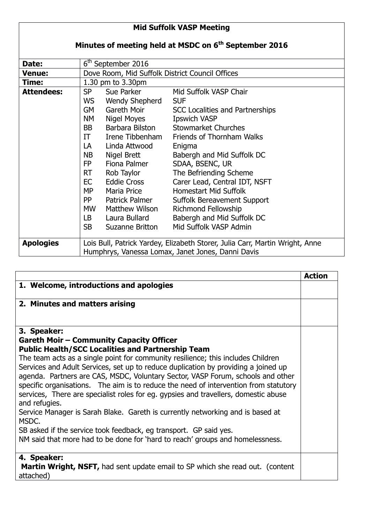## **Mid Suffolk VASP Meeting Minutes of meeting held at MSDC on 6th September 2016** Date: 6<sup>th</sup> September 2016 **Venue:** Dove Room, Mid Suffolk District Council Offices **Time:** 1.30 pm to 3.30pm **Attendees:** SP Sue Parker Mid Suffolk VASP Chair WS Wendy Shepherd SUF GM Gareth Moir SCC Localities and Partnerships NM Nigel Moyes Ipswich VASP BB Barbara Bilston Stowmarket Churches IT Irene Tibbenham Friends of Thornham Walks LA Linda Attwood Enigma NB Nigel Brett Babergh and Mid Suffolk DC FP Fiona Palmer SDAA, BSENC, UR RT Rob Taylor The Befriending Scheme EC Eddie Cross Carer Lead, Central IDT, NSFT MP Maria Price Homestart Mid Suffolk PP Patrick Palmer Suffolk Bereavement Support MW Matthew Wilson Richmond Fellowship LB Laura Bullard Babergh and Mid Suffolk DC SB Suzanne Britton Mid Suffolk VASP Admin **Apologies** Lois Bull, Patrick Yardey, Elizabeth Storer, Julia Carr, Martin Wright, Anne Humphrys, Vanessa Lomax, Janet Jones, Danni Davis

|                                                                                                                                                                                                                                                                                                                                                                                                                                                                                                                                                                                                                                                                                                                                                                                                                                          | <b>Action</b> |
|------------------------------------------------------------------------------------------------------------------------------------------------------------------------------------------------------------------------------------------------------------------------------------------------------------------------------------------------------------------------------------------------------------------------------------------------------------------------------------------------------------------------------------------------------------------------------------------------------------------------------------------------------------------------------------------------------------------------------------------------------------------------------------------------------------------------------------------|---------------|
| 1. Welcome, introductions and apologies                                                                                                                                                                                                                                                                                                                                                                                                                                                                                                                                                                                                                                                                                                                                                                                                  |               |
| 2. Minutes and matters arising                                                                                                                                                                                                                                                                                                                                                                                                                                                                                                                                                                                                                                                                                                                                                                                                           |               |
| 3. Speaker:<br><b>Gareth Moir - Community Capacity Officer</b><br><b>Public Health/SCC Localities and Partnership Team</b><br>The team acts as a single point for community resilience; this includes Children<br>Services and Adult Services, set up to reduce duplication by providing a joined up<br>agenda. Partners are CAS, MSDC, Voluntary Sector, VASP Forum, schools and other<br>specific organisations. The aim is to reduce the need of intervention from statutory<br>services, There are specialist roles for eg. gypsies and travellers, domestic abuse<br>and refugies.<br>Service Manager is Sarah Blake. Gareth is currently networking and is based at<br>MSDC.<br>SB asked if the service took feedback, eg transport. GP said yes.<br>NM said that more had to be done for 'hard to reach' groups and homelessness. |               |
| 4. Speaker:<br><b>Martin Wright, NSFT, had sent update email to SP which she read out. (content)</b><br>attached)                                                                                                                                                                                                                                                                                                                                                                                                                                                                                                                                                                                                                                                                                                                        |               |